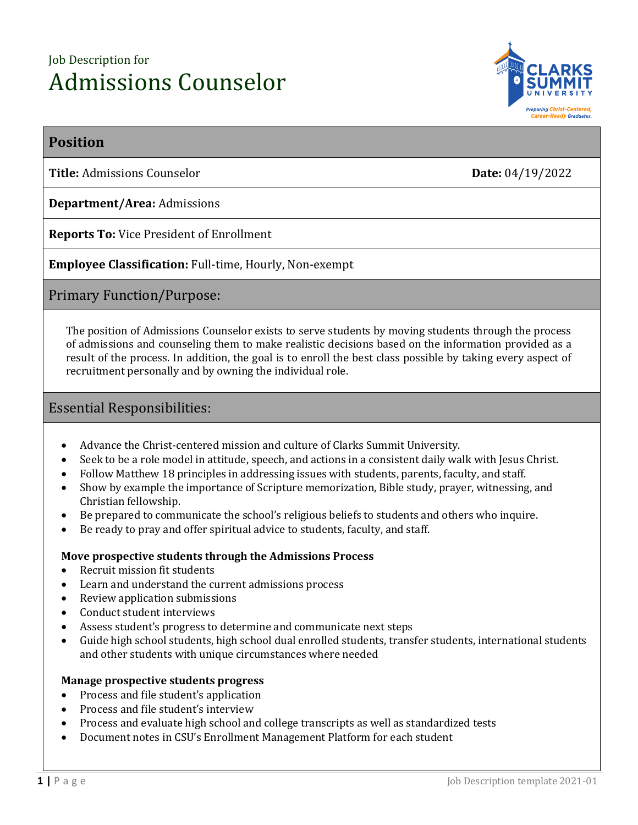# Job Description for Admissions Counselor



# **Position**

**Title:** Admissions Counselor **Date:** 04/19/2022

**Department/Area:** Admissions

**Reports To:** Vice President of Enrollment

**Employee Classification:** Full-time, Hourly, Non-exempt

Primary Function/Purpose:

The position of Admissions Counselor exists to serve students by moving students through the process of admissions and counseling them to make realistic decisions based on the information provided as a result of the process. In addition, the goal is to enroll the best class possible by taking every aspect of recruitment personally and by owning the individual role.

# Essential Responsibilities:

- Advance the Christ-centered mission and culture of Clarks Summit University.
- Seek to be a role model in attitude, speech, and actions in a consistent daily walk with Jesus Christ.
- Follow Matthew 18 principles in addressing issues with students, parents, faculty, and staff.
- Show by example the importance of Scripture memorization, Bible study, prayer, witnessing, and Christian fellowship.
- Be prepared to communicate the school's religious beliefs to students and others who inquire.
- Be ready to pray and offer spiritual advice to students, faculty, and staff.

# **Move prospective students through the Admissions Process**

- Recruit mission fit students
- Learn and understand the current admissions process
- Review application submissions
- Conduct student interviews
- Assess student's progress to determine and communicate next steps
- Guide high school students, high school dual enrolled students, transfer students, international students and other students with unique circumstances where needed

# **Manage prospective students progress**

- Process and file student's application
- Process and file student's interview
- Process and evaluate high school and college transcripts as well as standardized tests
- Document notes in CSU's Enrollment Management Platform for each student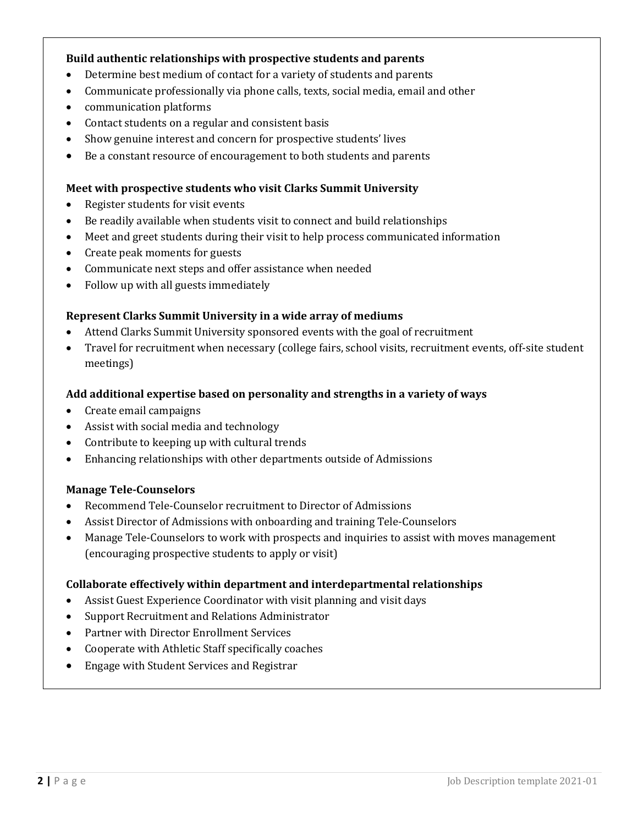### **Build authentic relationships with prospective students and parents**

- Determine best medium of contact for a variety of students and parents
- Communicate professionally via phone calls, texts, social media, email and other
- communication platforms
- Contact students on a regular and consistent basis
- Show genuine interest and concern for prospective students' lives
- Be a constant resource of encouragement to both students and parents

#### **Meet with prospective students who visit Clarks Summit University**

- Register students for visit events
- Be readily available when students visit to connect and build relationships
- Meet and greet students during their visit to help process communicated information
- Create peak moments for guests
- Communicate next steps and offer assistance when needed
- Follow up with all guests immediately

#### **Represent Clarks Summit University in a wide array of mediums**

- Attend Clarks Summit University sponsored events with the goal of recruitment
- Travel for recruitment when necessary (college fairs, school visits, recruitment events, off-site student meetings)

#### **Add additional expertise based on personality and strengths in a variety of ways**

- Create email campaigns
- Assist with social media and technology
- Contribute to keeping up with cultural trends
- Enhancing relationships with other departments outside of Admissions

#### **Manage Tele-Counselors**

- Recommend Tele-Counselor recruitment to Director of Admissions
- Assist Director of Admissions with onboarding and training Tele-Counselors
- Manage Tele-Counselors to work with prospects and inquiries to assist with moves management (encouraging prospective students to apply or visit)

#### **Collaborate effectively within department and interdepartmental relationships**

- Assist Guest Experience Coordinator with visit planning and visit days
- Support Recruitment and Relations Administrator
- Partner with Director Enrollment Services
- Cooperate with Athletic Staff specifically coaches
- Engage with Student Services and Registrar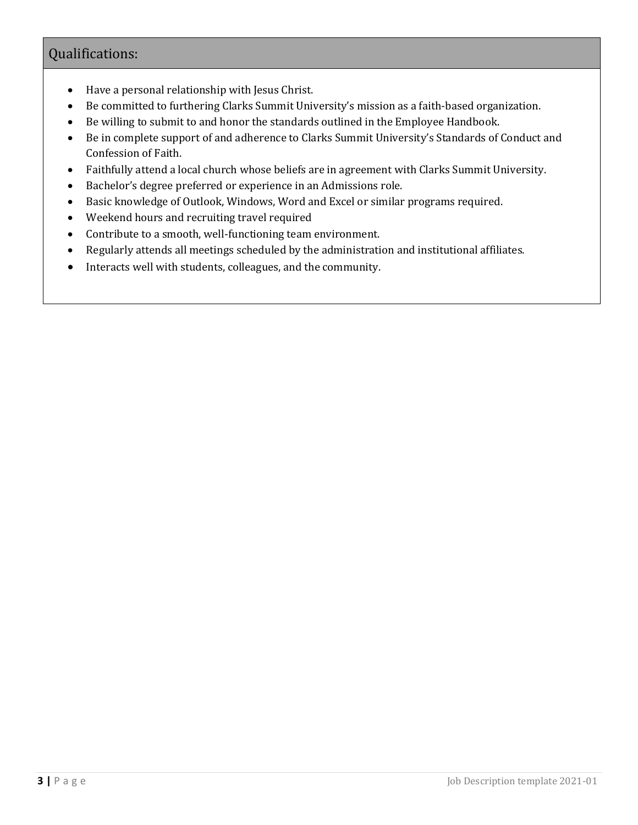# Qualifications:

- Have a personal relationship with Jesus Christ.
- Be committed to furthering Clarks Summit University's mission as a faith-based organization.
- Be willing to submit to and honor the standards outlined in the Employee Handbook.
- Be in complete support of and adherence to Clarks Summit University's Standards of Conduct and Confession of Faith.
- Faithfully attend a local church whose beliefs are in agreement with Clarks Summit University.
- Bachelor's degree preferred or experience in an Admissions role.
- Basic knowledge of Outlook, Windows, Word and Excel or similar programs required.
- Weekend hours and recruiting travel required
- Contribute to a smooth, well-functioning team environment.
- Regularly attends all meetings scheduled by the administration and institutional affiliates.
- Interacts well with students, colleagues, and the community.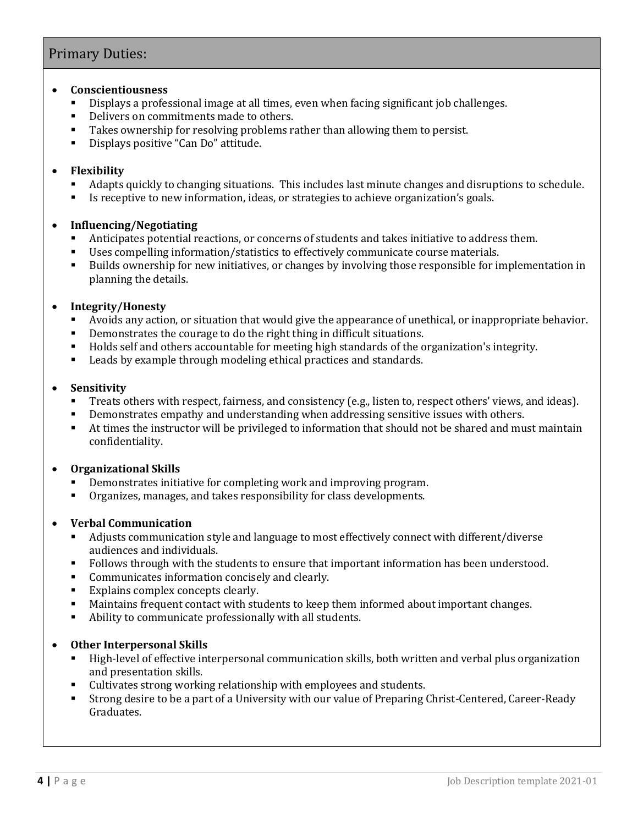# Primary Duties:

#### • **Conscientiousness**

- Displays a professional image at all times, even when facing significant job challenges.
- Delivers on commitments made to others.
- Takes ownership for resolving problems rather than allowing them to persist.
- Displays positive "Can Do" attitude.

### • **Flexibility**

- Adapts quickly to changing situations. This includes last minute changes and disruptions to schedule.
- Is receptive to new information, ideas, or strategies to achieve organization's goals.

### • **Influencing/Negotiating**

- Anticipates potential reactions, or concerns of students and takes initiative to address them.
- Uses compelling information/statistics to effectively communicate course materials.
- Builds ownership for new initiatives, or changes by involving those responsible for implementation in planning the details.

### • **Integrity/Honesty**

- Avoids any action, or situation that would give the appearance of unethical, or inappropriate behavior.
- Demonstrates the courage to do the right thing in difficult situations.
- Holds self and others accountable for meeting high standards of the organization's integrity.
- Leads by example through modeling ethical practices and standards.

#### • **Sensitivity**

- Treats others with respect, fairness, and consistency (e.g., listen to, respect others' views, and ideas).
- Demonstrates empathy and understanding when addressing sensitive issues with others.
- At times the instructor will be privileged to information that should not be shared and must maintain confidentiality.

# • **Organizational Skills**

- Demonstrates initiative for completing work and improving program.
- Organizes, manages, and takes responsibility for class developments.

# • **Verbal Communication**

- Adjusts communication style and language to most effectively connect with different/diverse audiences and individuals.
- Follows through with the students to ensure that important information has been understood.
- Communicates information concisely and clearly.
- Explains complex concepts clearly.
- Maintains frequent contact with students to keep them informed about important changes.
- Ability to communicate professionally with all students.

# • **Other Interpersonal Skills**

- High-level of effective interpersonal communication skills, both written and verbal plus organization and presentation skills.
- Cultivates strong working relationship with employees and students.
- Strong desire to be a part of a University with our value of Preparing Christ-Centered, Career-Ready Graduates.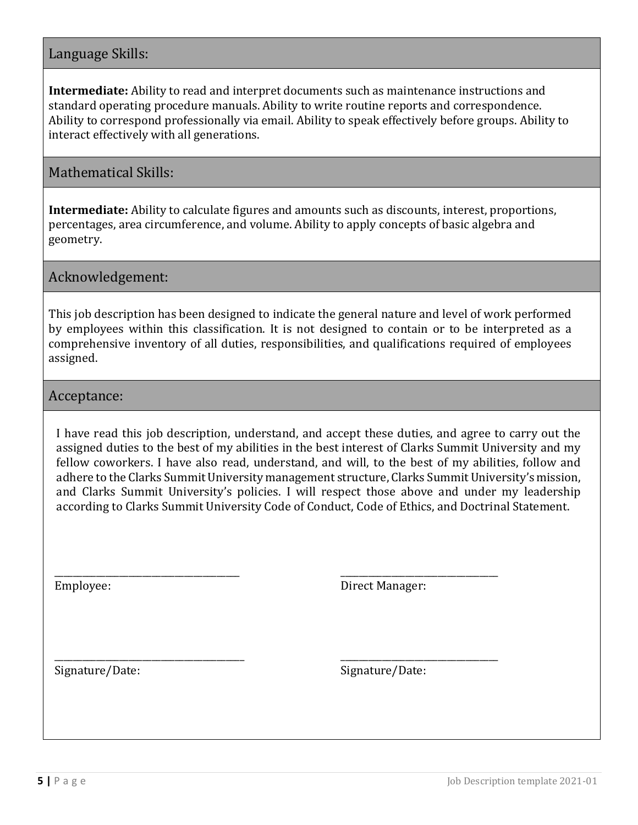# Language Skills:

**Intermediate:** Ability to read and interpret documents such as maintenance instructions and standard operating procedure manuals. Ability to write routine reports and correspondence. Ability to correspond professionally via email. Ability to speak effectively before groups. Ability to interact effectively with all generations.

# Mathematical Skills:

**Intermediate:** Ability to calculate figures and amounts such as discounts, interest, proportions, percentages, area circumference, and volume. Ability to apply concepts of basic algebra and geometry.

Acknowledgement:

This job description has been designed to indicate the general nature and level of work performed by employees within this classification. It is not designed to contain or to be interpreted as a comprehensive inventory of all duties, responsibilities, and qualifications required of employees assigned.

# Acceptance:

I have read this job description, understand, and accept these duties, and agree to carry out the assigned duties to the best of my abilities in the best interest of Clarks Summit University and my fellow coworkers. I have also read, understand, and will, to the best of my abilities, follow and adhere to the Clarks Summit University management structure, Clarks Summit University's mission, and Clarks Summit University's policies. I will respect those above and under my leadership according to Clarks Summit University Code of Conduct, Code of Ethics, and Doctrinal Statement.

Employee:

\_\_\_\_\_\_\_\_\_\_\_\_\_\_\_\_\_\_\_\_\_\_\_\_\_\_\_\_\_\_\_\_\_\_\_\_\_\_\_\_

\_\_\_\_\_\_\_\_\_\_\_\_\_\_\_\_\_\_\_\_\_\_\_\_\_\_\_\_\_\_\_\_\_\_\_\_\_\_\_\_\_

Direct Manager:

\_\_\_\_\_\_\_\_\_\_\_\_\_\_\_\_\_\_\_\_\_\_\_\_\_\_\_\_\_\_\_\_\_\_

\_\_\_\_\_\_\_\_\_\_\_\_\_\_\_\_\_\_\_\_\_\_\_\_\_\_\_\_\_\_\_\_\_\_

Signature/Date:

Signature/Date: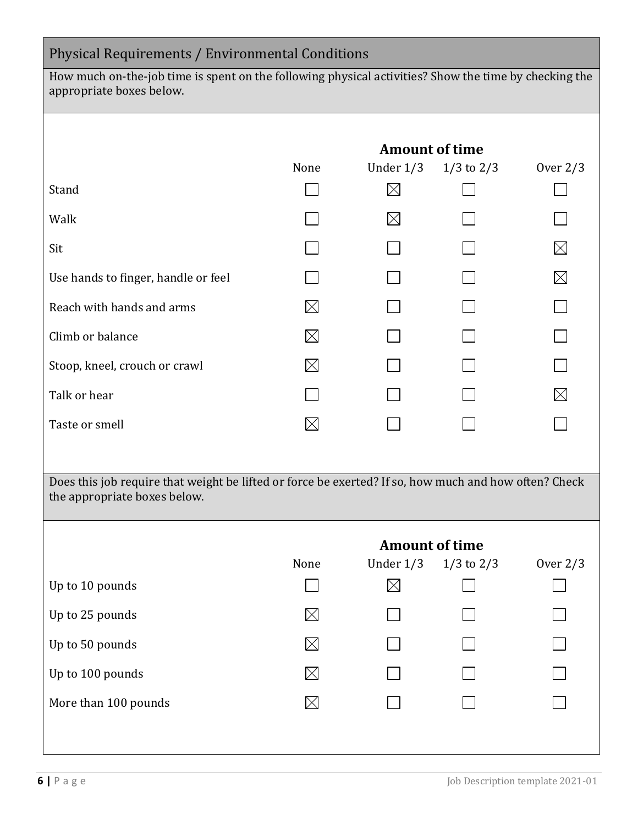| Physical Requirements / Environmental Conditions                                                                                      |                       |                                                                      |                |             |  |  |  |
|---------------------------------------------------------------------------------------------------------------------------------------|-----------------------|----------------------------------------------------------------------|----------------|-------------|--|--|--|
| How much on-the-job time is spent on the following physical activities? Show the time by checking the<br>appropriate boxes below.     |                       |                                                                      |                |             |  |  |  |
|                                                                                                                                       |                       |                                                                      |                |             |  |  |  |
|                                                                                                                                       | None                  | <b>Amount of time</b><br>Under $1/3$<br>$1/3$ to $2/3$<br>Over $2/3$ |                |             |  |  |  |
| Stand                                                                                                                                 |                       | $\boxtimes$                                                          |                |             |  |  |  |
| Walk                                                                                                                                  |                       | $\boxtimes$                                                          |                |             |  |  |  |
| Sit                                                                                                                                   |                       |                                                                      |                | $\boxtimes$ |  |  |  |
| Use hands to finger, handle or feel                                                                                                   |                       |                                                                      |                | $\boxtimes$ |  |  |  |
| Reach with hands and arms                                                                                                             |                       |                                                                      |                |             |  |  |  |
| Climb or balance                                                                                                                      |                       |                                                                      |                |             |  |  |  |
| Stoop, kneel, crouch or crawl                                                                                                         | IХ                    |                                                                      |                |             |  |  |  |
| Talk or hear                                                                                                                          |                       |                                                                      |                | $\boxtimes$ |  |  |  |
| Taste or smell                                                                                                                        | $\boxtimes$           |                                                                      |                |             |  |  |  |
|                                                                                                                                       |                       |                                                                      |                |             |  |  |  |
| Does this job require that weight be lifted or force be exerted? If so, how much and how often? Check<br>the appropriate boxes below. |                       |                                                                      |                |             |  |  |  |
|                                                                                                                                       |                       |                                                                      |                |             |  |  |  |
|                                                                                                                                       | <b>Amount of time</b> |                                                                      |                |             |  |  |  |
|                                                                                                                                       | None                  | Under $1/3$                                                          | $1/3$ to $2/3$ | Over $2/3$  |  |  |  |
| Up to 10 pounds                                                                                                                       |                       | $\boxtimes$                                                          |                |             |  |  |  |
| Up to 25 pounds                                                                                                                       |                       |                                                                      |                |             |  |  |  |
| Up to 50 pounds                                                                                                                       |                       |                                                                      |                |             |  |  |  |
| Up to 100 pounds                                                                                                                      |                       |                                                                      |                |             |  |  |  |
| More than 100 pounds                                                                                                                  |                       |                                                                      |                |             |  |  |  |
|                                                                                                                                       |                       |                                                                      |                |             |  |  |  |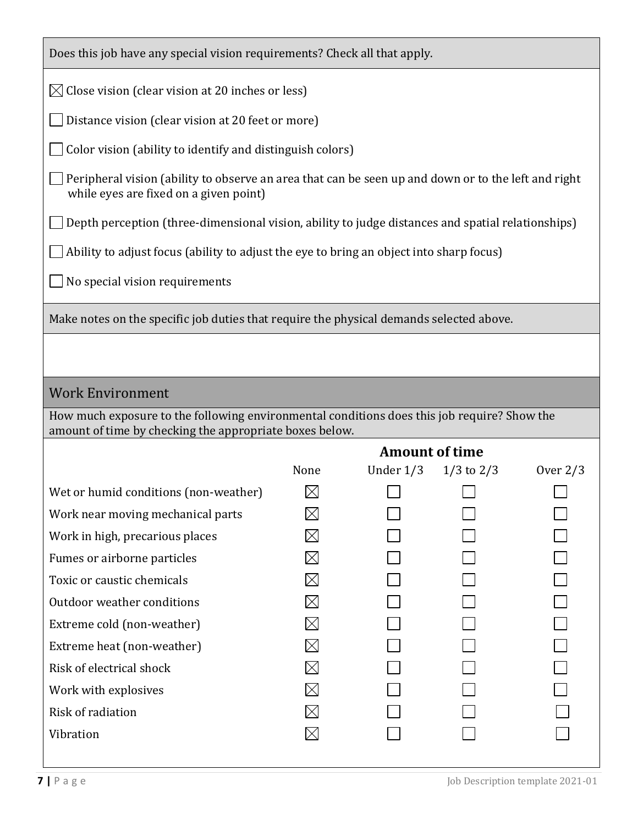| Does this job have any special vision requirements? Check all that apply.                                                                              |                       |             |                |            |  |  |
|--------------------------------------------------------------------------------------------------------------------------------------------------------|-----------------------|-------------|----------------|------------|--|--|
| $\boxtimes$ Close vision (clear vision at 20 inches or less)                                                                                           |                       |             |                |            |  |  |
| Distance vision (clear vision at 20 feet or more)                                                                                                      |                       |             |                |            |  |  |
| Color vision (ability to identify and distinguish colors)                                                                                              |                       |             |                |            |  |  |
| Peripheral vision (ability to observe an area that can be seen up and down or to the left and right<br>while eyes are fixed on a given point)          |                       |             |                |            |  |  |
| Depth perception (three-dimensional vision, ability to judge distances and spatial relationships)                                                      |                       |             |                |            |  |  |
| Ability to adjust focus (ability to adjust the eye to bring an object into sharp focus)                                                                |                       |             |                |            |  |  |
| No special vision requirements                                                                                                                         |                       |             |                |            |  |  |
|                                                                                                                                                        |                       |             |                |            |  |  |
| Make notes on the specific job duties that require the physical demands selected above.                                                                |                       |             |                |            |  |  |
|                                                                                                                                                        |                       |             |                |            |  |  |
| <b>Work Environment</b>                                                                                                                                |                       |             |                |            |  |  |
| How much exposure to the following environmental conditions does this job require? Show the<br>amount of time by checking the appropriate boxes below. |                       |             |                |            |  |  |
|                                                                                                                                                        | <b>Amount of time</b> |             |                |            |  |  |
|                                                                                                                                                        | None                  | Under $1/3$ | $1/3$ to $2/3$ | Over $2/3$ |  |  |
| Wet or humid conditions (non-weather)                                                                                                                  |                       |             |                |            |  |  |
| Work near moving mechanical parts                                                                                                                      |                       |             |                |            |  |  |
| Work in high, precarious places                                                                                                                        |                       |             |                |            |  |  |
| Fumes or airborne particles                                                                                                                            |                       |             |                |            |  |  |
| Toxic or caustic chemicals                                                                                                                             |                       |             |                |            |  |  |
| Outdoor weather conditions                                                                                                                             |                       |             |                |            |  |  |
| Extreme cold (non-weather)                                                                                                                             |                       |             |                |            |  |  |
| Extreme heat (non-weather)                                                                                                                             |                       |             |                |            |  |  |
| Risk of electrical shock                                                                                                                               |                       |             |                |            |  |  |
| Work with explosives                                                                                                                                   |                       |             |                |            |  |  |
|                                                                                                                                                        |                       |             |                |            |  |  |
| Risk of radiation                                                                                                                                      |                       |             |                |            |  |  |